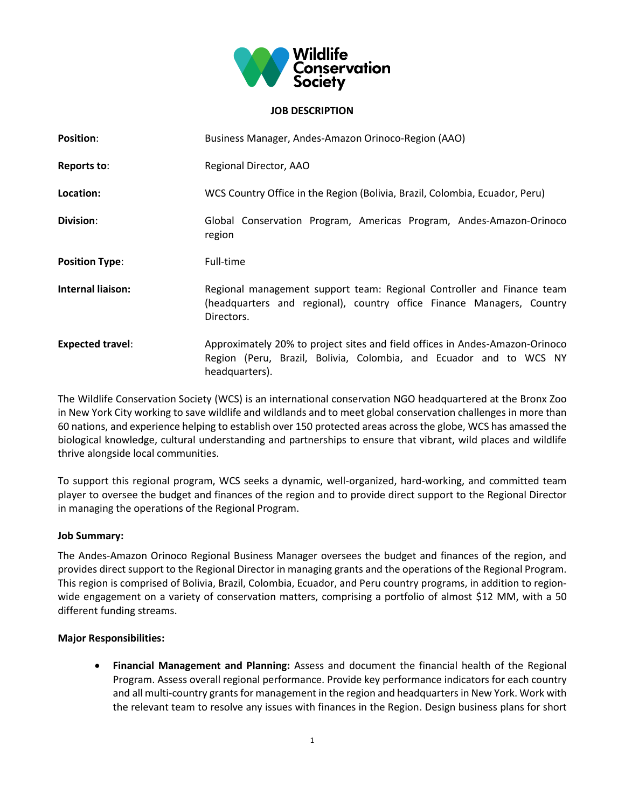

### **JOB DESCRIPTION**

| <b>Position:</b>        | Business Manager, Andes-Amazon Orinoco-Region (AAO)                                                                                                                  |
|-------------------------|----------------------------------------------------------------------------------------------------------------------------------------------------------------------|
| <b>Reports to:</b>      | Regional Director, AAO                                                                                                                                               |
| Location:               | WCS Country Office in the Region (Bolivia, Brazil, Colombia, Ecuador, Peru)                                                                                          |
| Division:               | Global Conservation Program, Americas Program, Andes-Amazon-Orinoco<br>region                                                                                        |
| <b>Position Type:</b>   | Full-time                                                                                                                                                            |
| Internal liaison:       | Regional management support team: Regional Controller and Finance team<br>(headquarters and regional), country office Finance Managers, Country<br>Directors.        |
| <b>Expected travel:</b> | Approximately 20% to project sites and field offices in Andes-Amazon-Orinoco<br>Region (Peru, Brazil, Bolivia, Colombia, and Ecuador and to WCS NY<br>headquarters). |

The Wildlife Conservation Society (WCS) is an international conservation NGO headquartered at the Bronx Zoo in New York City working to save wildlife and wildlands and to meet global conservation challenges in more than 60 nations, and experience helping to establish over 150 protected areas across the globe, WCS has amassed the biological knowledge, cultural understanding and partnerships to ensure that vibrant, wild places and wildlife thrive alongside local communities.

To support this regional program, WCS seeks a dynamic, well-organized, hard-working, and committed team player to oversee the budget and finances of the region and to provide direct support to the Regional Director in managing the operations of the Regional Program.

# **Job Summary:**

The Andes-Amazon Orinoco Regional Business Manager oversees the budget and finances of the region, and provides direct support to the Regional Director in managing grants and the operations of the Regional Program. This region is comprised of Bolivia, Brazil, Colombia, Ecuador, and Peru country programs, in addition to region‐ wide engagement on a variety of conservation matters, comprising a portfolio of almost \$12 MM, with a 50 different funding streams.

# **Major Responsibilities:**

 **Financial Management and Planning:** Assess and document the financial health of the Regional Program. Assess overall regional performance. Provide key performance indicators for each country and all multi-country grants for management in the region and headquarters in New York. Work with the relevant team to resolve any issues with finances in the Region. Design business plans for short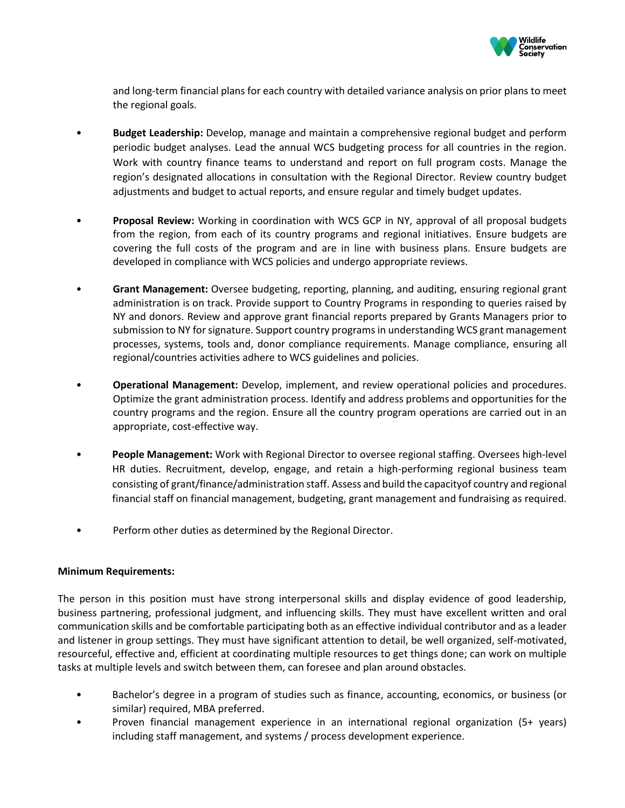

and long-term financial plans for each country with detailed variance analysis on prior plans to meet the regional goals.

- **Budget Leadership:** Develop, manage and maintain a comprehensive regional budget and perform periodic budget analyses. Lead the annual WCS budgeting process for all countries in the region. Work with country finance teams to understand and report on full program costs. Manage the region's designated allocations in consultation with the Regional Director. Review country budget adjustments and budget to actual reports, and ensure regular and timely budget updates.
- **Proposal Review:** Working in coordination with WCS GCP in NY, approval of all proposal budgets from the region, from each of its country programs and regional initiatives. Ensure budgets are covering the full costs of the program and are in line with business plans. Ensure budgets are developed in compliance with WCS policies and undergo appropriate reviews.
- **Grant Management:** Oversee budgeting, reporting, planning, and auditing, ensuring regional grant administration is on track. Provide support to Country Programs in responding to queries raised by NY and donors. Review and approve grant financial reports prepared by Grants Managers prior to submission to NY for signature. Support country programs in understanding WCS grant management processes, systems, tools and, donor compliance requirements. Manage compliance, ensuring all regional/countries activities adhere to WCS guidelines and policies.
- **Operational Management:** Develop, implement, and review operational policies and procedures. Optimize the grant administration process. Identify and address problems and opportunities for the country programs and the region. Ensure all the country program operations are carried out in an appropriate, cost-effective way.
- **People Management:** Work with Regional Director to oversee regional staffing. Oversees high-level HR duties. Recruitment, develop, engage, and retain a high-performing regional business team consisting of grant/finance/administration staff. Assess and build the capacityof country and regional financial staff on financial management, budgeting, grant management and fundraising as required.
- Perform other duties as determined by the Regional Director.

# **Minimum Requirements:**

The person in this position must have strong interpersonal skills and display evidence of good leadership, business partnering, professional judgment, and influencing skills. They must have excellent written and oral communication skills and be comfortable participating both as an effective individual contributor and as a leader and listener in group settings. They must have significant attention to detail, be well organized, self-motivated, resourceful, effective and, efficient at coordinating multiple resources to get things done; can work on multiple tasks at multiple levels and switch between them, can foresee and plan around obstacles.

- Bachelor's degree in a program of studies such as finance, accounting, economics, or business (or similar) required, MBA preferred.
- Proven financial management experience in an international regional organization (5+ years) including staff management, and systems / process development experience.